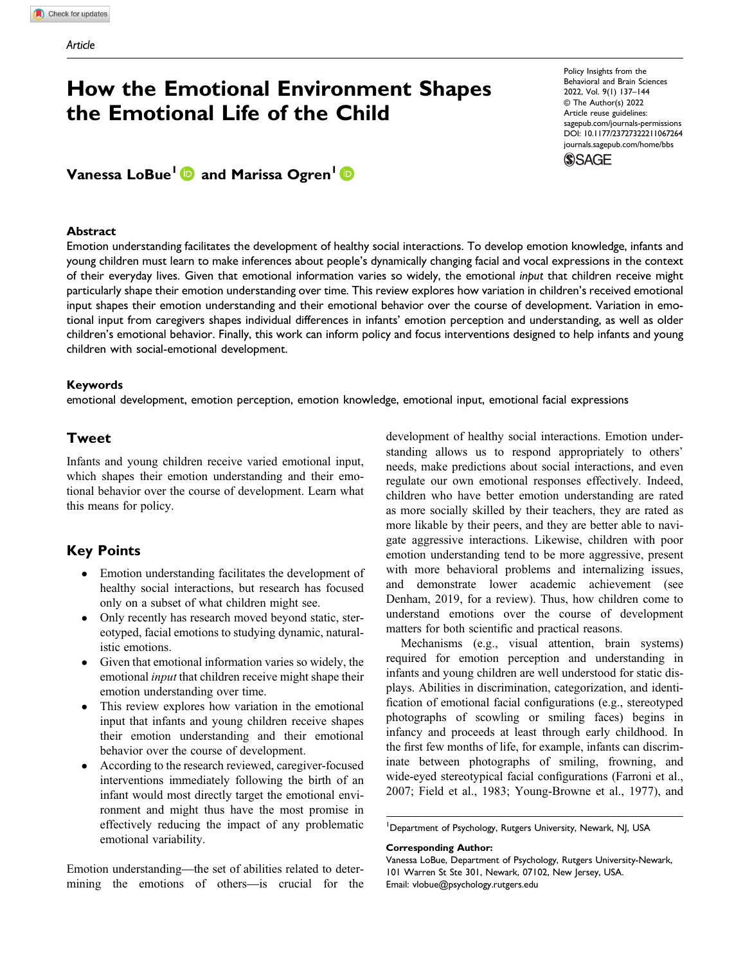# How the Emotional Environment Shapes the Emotional Life of the Child

## Vanessa LoBue<sup>1</sup> and Marissa Ogren<sup>1</sup> **D**

### **Abstract**

Policy Insights from the Behavioral and Brain Sciences 2022, Vol. 9(1) 137–144 © The Author(s) 2022 Article reuse guidelines: [sagepub.com/journals-permissions](https://us.sagepub.com/en-us/journals-permissions) [DOI: 10.1177/23727322211067264](https://doi.org/10.1177/23727322211067264) [journals.sagepub.com/home/bbs](https://journals.sagepub.com/home/bbs)**SSAGE** 

Emotion understanding facilitates the development of healthy social interactions. To develop emotion knowledge, infants and young children must learn to make inferences about people's dynamically changing facial and vocal expressions in the context of their everyday lives. Given that emotional information varies so widely, the emotional input that children receive might particularly shape their emotion understanding over time. This review explores how variation in children's received emotional input shapes their emotion understanding and their emotional behavior over the course of development. Variation in emotional input from caregivers shapes individual differences in infants' emotion perception and understanding, as well as older children's emotional behavior. Finally, this work can inform policy and focus interventions designed to help infants and young children with social-emotional development.

### Keywords

emotional development, emotion perception, emotion knowledge, emotional input, emotional facial expressions

### Tweet

Infants and young children receive varied emotional input, which shapes their emotion understanding and their emotional behavior over the course of development. Learn what this means for policy.

### Key Points

- Emotion understanding facilitates the development of healthy social interactions, but research has focused only on a subset of what children might see.
- Only recently has research moved beyond static, stereotyped, facial emotions to studying dynamic, naturalistic emotions.
- Given that emotional information varies so widely, the emotional *input* that children receive might shape their emotion understanding over time.
- This review explores how variation in the emotional input that infants and young children receive shapes their emotion understanding and their emotional behavior over the course of development.
- According to the research reviewed, caregiver-focused interventions immediately following the birth of an infant would most directly target the emotional environment and might thus have the most promise in effectively reducing the impact of any problematic emotional variability.

Emotion understanding—the set of abilities related to determining the emotions of others—is crucial for the development of healthy social interactions. Emotion understanding allows us to respond appropriately to others' needs, make predictions about social interactions, and even regulate our own emotional responses effectively. Indeed, children who have better emotion understanding are rated as more socially skilled by their teachers, they are rated as more likable by their peers, and they are better able to navigate aggressive interactions. Likewise, children with poor emotion understanding tend to be more aggressive, present with more behavioral problems and internalizing issues, and demonstrate lower academic achievement (see Denham, 2019, for a review). Thus, how children come to understand emotions over the course of development matters for both scientific and practical reasons.

Mechanisms (e.g., visual attention, brain systems) required for emotion perception and understanding in infants and young children are well understood for static displays. Abilities in discrimination, categorization, and identification of emotional facial configurations (e.g., stereotyped photographs of scowling or smiling faces) begins in infancy and proceeds at least through early childhood. In the first few months of life, for example, infants can discriminate between photographs of smiling, frowning, and wide-eyed stereotypical facial configurations (Farroni et al., 2007; Field et al., 1983; Young-Browne et al., 1977), and

#### Corresponding Author:

Vanessa LoBue, Department of Psychology, Rutgers University-Newark, 101 Warren St Ste 301, Newark, 07102, New Jersey, USA. Email: [vlobue@psychology.rutgers.edu](mailto:vlobue@psychology.rutgers.edu)

<sup>&</sup>lt;sup>1</sup>Department of Psychology, Rutgers University, Newark, NJ, USA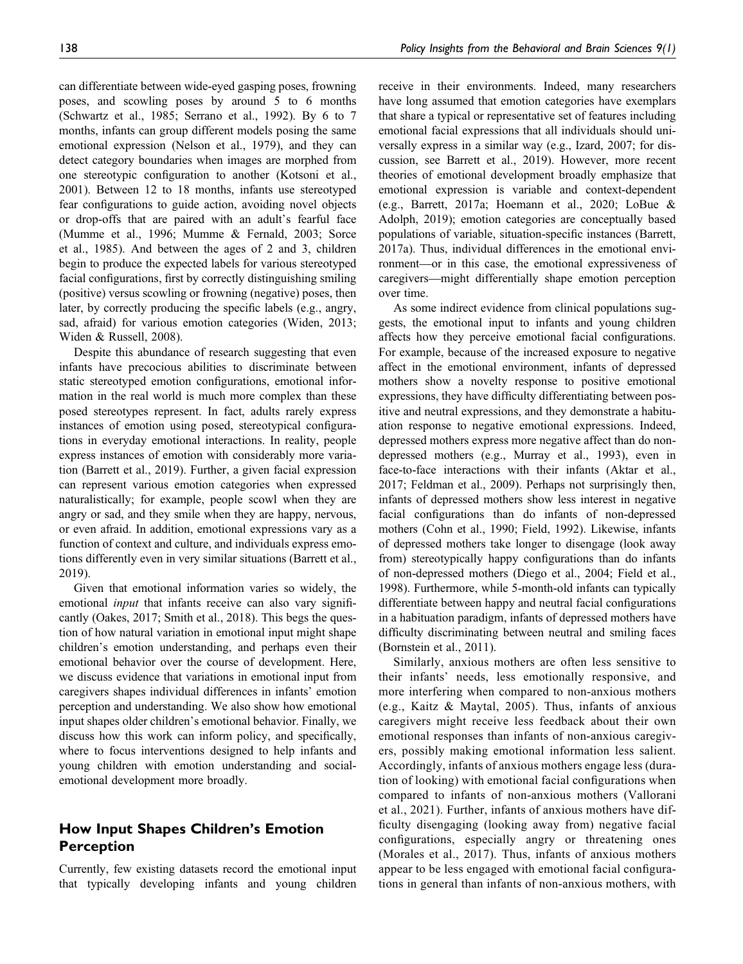can differentiate between wide-eyed gasping poses, frowning poses, and scowling poses by around 5 to 6 months (Schwartz et al., 1985; Serrano et al., 1992). By 6 to 7 months, infants can group different models posing the same emotional expression (Nelson et al., 1979), and they can detect category boundaries when images are morphed from one stereotypic configuration to another (Kotsoni et al., 2001). Between 12 to 18 months, infants use stereotyped fear configurations to guide action, avoiding novel objects or drop-offs that are paired with an adult's fearful face (Mumme et al., 1996; Mumme & Fernald, 2003; Sorce et al., 1985). And between the ages of 2 and 3, children begin to produce the expected labels for various stereotyped facial configurations, first by correctly distinguishing smiling (positive) versus scowling or frowning (negative) poses, then later, by correctly producing the specific labels (e.g., angry, sad, afraid) for various emotion categories (Widen, 2013; Widen & Russell, 2008).

Despite this abundance of research suggesting that even infants have precocious abilities to discriminate between static stereotyped emotion configurations, emotional information in the real world is much more complex than these posed stereotypes represent. In fact, adults rarely express instances of emotion using posed, stereotypical configurations in everyday emotional interactions. In reality, people express instances of emotion with considerably more variation (Barrett et al., 2019). Further, a given facial expression can represent various emotion categories when expressed naturalistically; for example, people scowl when they are angry or sad, and they smile when they are happy, nervous, or even afraid. In addition, emotional expressions vary as a function of context and culture, and individuals express emotions differently even in very similar situations (Barrett et al., 2019).

Given that emotional information varies so widely, the emotional *input* that infants receive can also vary significantly (Oakes, 2017; Smith et al., 2018). This begs the question of how natural variation in emotional input might shape children's emotion understanding, and perhaps even their emotional behavior over the course of development. Here, we discuss evidence that variations in emotional input from caregivers shapes individual differences in infants' emotion perception and understanding. We also show how emotional input shapes older children's emotional behavior. Finally, we discuss how this work can inform policy, and specifically, where to focus interventions designed to help infants and young children with emotion understanding and socialemotional development more broadly.

### How Input Shapes Children's Emotion Perception

Currently, few existing datasets record the emotional input that typically developing infants and young children

receive in their environments. Indeed, many researchers have long assumed that emotion categories have exemplars that share a typical or representative set of features including emotional facial expressions that all individuals should universally express in a similar way (e.g., Izard, 2007; for discussion, see Barrett et al., 2019). However, more recent theories of emotional development broadly emphasize that emotional expression is variable and context-dependent (e.g., Barrett, 2017a; Hoemann et al., 2020; LoBue & Adolph, 2019); emotion categories are conceptually based populations of variable, situation-specific instances (Barrett, 2017a). Thus, individual differences in the emotional environment—or in this case, the emotional expressiveness of caregivers—might differentially shape emotion perception over time.

As some indirect evidence from clinical populations suggests, the emotional input to infants and young children affects how they perceive emotional facial configurations. For example, because of the increased exposure to negative affect in the emotional environment, infants of depressed mothers show a novelty response to positive emotional expressions, they have difficulty differentiating between positive and neutral expressions, and they demonstrate a habituation response to negative emotional expressions. Indeed, depressed mothers express more negative affect than do nondepressed mothers (e.g., Murray et al., 1993), even in face-to-face interactions with their infants (Aktar et al., 2017; Feldman et al., 2009). Perhaps not surprisingly then, infants of depressed mothers show less interest in negative facial configurations than do infants of non-depressed mothers (Cohn et al., 1990; Field, 1992). Likewise, infants of depressed mothers take longer to disengage (look away from) stereotypically happy configurations than do infants of non-depressed mothers (Diego et al., 2004; Field et al., 1998). Furthermore, while 5-month-old infants can typically differentiate between happy and neutral facial configurations in a habituation paradigm, infants of depressed mothers have difficulty discriminating between neutral and smiling faces (Bornstein et al., 2011).

Similarly, anxious mothers are often less sensitive to their infants' needs, less emotionally responsive, and more interfering when compared to non-anxious mothers (e.g., Kaitz & Maytal, 2005). Thus, infants of anxious caregivers might receive less feedback about their own emotional responses than infants of non-anxious caregivers, possibly making emotional information less salient. Accordingly, infants of anxious mothers engage less (duration of looking) with emotional facial configurations when compared to infants of non-anxious mothers (Vallorani et al., 2021). Further, infants of anxious mothers have difficulty disengaging (looking away from) negative facial configurations, especially angry or threatening ones (Morales et al., 2017). Thus, infants of anxious mothers appear to be less engaged with emotional facial configurations in general than infants of non-anxious mothers, with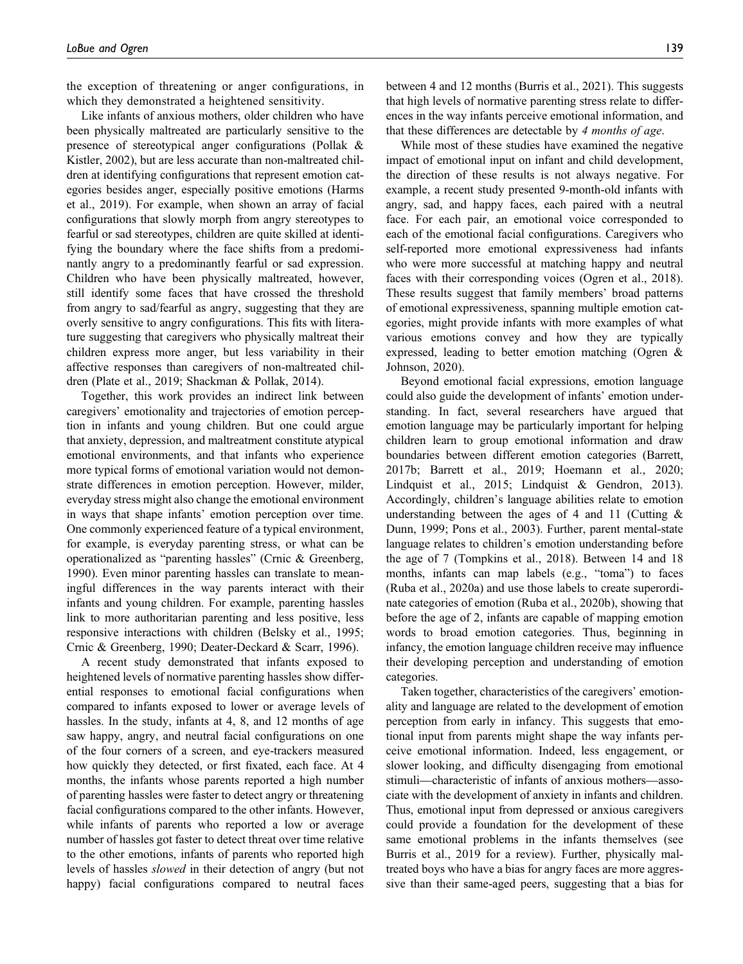the exception of threatening or anger configurations, in which they demonstrated a heightened sensitivity.

Like infants of anxious mothers, older children who have been physically maltreated are particularly sensitive to the presence of stereotypical anger configurations (Pollak & Kistler, 2002), but are less accurate than non-maltreated children at identifying configurations that represent emotion categories besides anger, especially positive emotions (Harms et al., 2019). For example, when shown an array of facial configurations that slowly morph from angry stereotypes to fearful or sad stereotypes, children are quite skilled at identifying the boundary where the face shifts from a predominantly angry to a predominantly fearful or sad expression. Children who have been physically maltreated, however, still identify some faces that have crossed the threshold from angry to sad/fearful as angry, suggesting that they are overly sensitive to angry configurations. This fits with literature suggesting that caregivers who physically maltreat their children express more anger, but less variability in their affective responses than caregivers of non-maltreated children (Plate et al., 2019; Shackman & Pollak, 2014).

Together, this work provides an indirect link between caregivers' emotionality and trajectories of emotion perception in infants and young children. But one could argue that anxiety, depression, and maltreatment constitute atypical emotional environments, and that infants who experience more typical forms of emotional variation would not demonstrate differences in emotion perception. However, milder, everyday stress might also change the emotional environment in ways that shape infants' emotion perception over time. One commonly experienced feature of a typical environment, for example, is everyday parenting stress, or what can be operationalized as "parenting hassles" (Crnic & Greenberg, 1990). Even minor parenting hassles can translate to meaningful differences in the way parents interact with their infants and young children. For example, parenting hassles link to more authoritarian parenting and less positive, less responsive interactions with children (Belsky et al., 1995; Crnic & Greenberg, 1990; Deater-Deckard & Scarr, 1996).

A recent study demonstrated that infants exposed to heightened levels of normative parenting hassles show differential responses to emotional facial configurations when compared to infants exposed to lower or average levels of hassles. In the study, infants at 4, 8, and 12 months of age saw happy, angry, and neutral facial configurations on one of the four corners of a screen, and eye-trackers measured how quickly they detected, or first fixated, each face. At 4 months, the infants whose parents reported a high number of parenting hassles were faster to detect angry or threatening facial configurations compared to the other infants. However, while infants of parents who reported a low or average number of hassles got faster to detect threat over time relative to the other emotions, infants of parents who reported high levels of hassles slowed in their detection of angry (but not happy) facial configurations compared to neutral faces

between 4 and 12 months (Burris et al., 2021). This suggests that high levels of normative parenting stress relate to differences in the way infants perceive emotional information, and that these differences are detectable by 4 months of age.

While most of these studies have examined the negative impact of emotional input on infant and child development, the direction of these results is not always negative. For example, a recent study presented 9-month-old infants with angry, sad, and happy faces, each paired with a neutral face. For each pair, an emotional voice corresponded to each of the emotional facial configurations. Caregivers who self-reported more emotional expressiveness had infants who were more successful at matching happy and neutral faces with their corresponding voices (Ogren et al., 2018). These results suggest that family members' broad patterns of emotional expressiveness, spanning multiple emotion categories, might provide infants with more examples of what various emotions convey and how they are typically expressed, leading to better emotion matching (Ogren & Johnson, 2020).

Beyond emotional facial expressions, emotion language could also guide the development of infants' emotion understanding. In fact, several researchers have argued that emotion language may be particularly important for helping children learn to group emotional information and draw boundaries between different emotion categories (Barrett, 2017b; Barrett et al., 2019; Hoemann et al., 2020; Lindquist et al., 2015; Lindquist & Gendron, 2013). Accordingly, children's language abilities relate to emotion understanding between the ages of 4 and 11 (Cutting & Dunn, 1999; Pons et al., 2003). Further, parent mental-state language relates to children's emotion understanding before the age of 7 (Tompkins et al., 2018). Between 14 and 18 months, infants can map labels (e.g., "toma") to faces (Ruba et al., 2020a) and use those labels to create superordinate categories of emotion (Ruba et al., 2020b), showing that before the age of 2, infants are capable of mapping emotion words to broad emotion categories. Thus, beginning in infancy, the emotion language children receive may influence their developing perception and understanding of emotion categories.

Taken together, characteristics of the caregivers' emotionality and language are related to the development of emotion perception from early in infancy. This suggests that emotional input from parents might shape the way infants perceive emotional information. Indeed, less engagement, or slower looking, and difficulty disengaging from emotional stimuli—characteristic of infants of anxious mothers—associate with the development of anxiety in infants and children. Thus, emotional input from depressed or anxious caregivers could provide a foundation for the development of these same emotional problems in the infants themselves (see Burris et al., 2019 for a review). Further, physically maltreated boys who have a bias for angry faces are more aggressive than their same-aged peers, suggesting that a bias for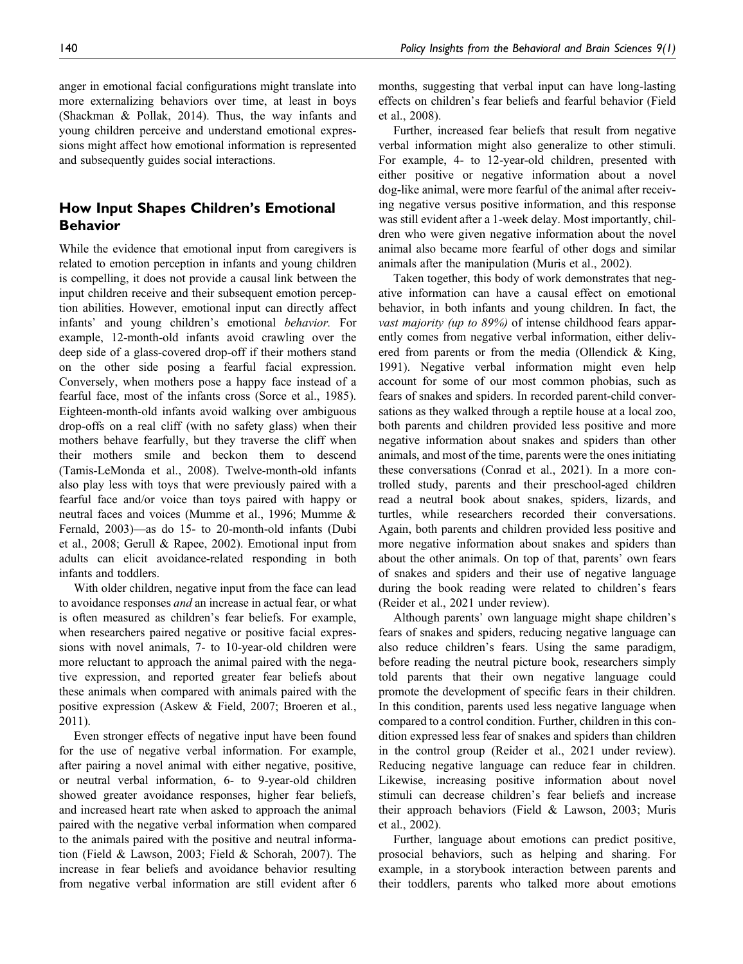anger in emotional facial configurations might translate into more externalizing behaviors over time, at least in boys (Shackman & Pollak, 2014). Thus, the way infants and young children perceive and understand emotional expressions might affect how emotional information is represented and subsequently guides social interactions.

### How Input Shapes Children's Emotional Behavior

While the evidence that emotional input from caregivers is related to emotion perception in infants and young children is compelling, it does not provide a causal link between the input children receive and their subsequent emotion perception abilities. However, emotional input can directly affect infants' and young children's emotional behavior. For example, 12-month-old infants avoid crawling over the deep side of a glass-covered drop-off if their mothers stand on the other side posing a fearful facial expression. Conversely, when mothers pose a happy face instead of a fearful face, most of the infants cross (Sorce et al., 1985). Eighteen-month-old infants avoid walking over ambiguous drop-offs on a real cliff (with no safety glass) when their mothers behave fearfully, but they traverse the cliff when their mothers smile and beckon them to descend (Tamis-LeMonda et al., 2008). Twelve-month-old infants also play less with toys that were previously paired with a fearful face and/or voice than toys paired with happy or neutral faces and voices (Mumme et al., 1996; Mumme & Fernald, 2003)—as do 15- to 20-month-old infants (Dubi et al., 2008; Gerull & Rapee, 2002). Emotional input from adults can elicit avoidance-related responding in both infants and toddlers.

With older children, negative input from the face can lead to avoidance responses *and* an increase in actual fear, or what is often measured as children's fear beliefs. For example, when researchers paired negative or positive facial expressions with novel animals, 7- to 10-year-old children were more reluctant to approach the animal paired with the negative expression, and reported greater fear beliefs about these animals when compared with animals paired with the positive expression (Askew & Field, 2007; Broeren et al., 2011).

Even stronger effects of negative input have been found for the use of negative verbal information. For example, after pairing a novel animal with either negative, positive, or neutral verbal information, 6- to 9-year-old children showed greater avoidance responses, higher fear beliefs, and increased heart rate when asked to approach the animal paired with the negative verbal information when compared to the animals paired with the positive and neutral information (Field & Lawson, 2003; Field & Schorah, 2007). The increase in fear beliefs and avoidance behavior resulting from negative verbal information are still evident after 6

months, suggesting that verbal input can have long-lasting effects on children's fear beliefs and fearful behavior (Field et al., 2008).

Further, increased fear beliefs that result from negative verbal information might also generalize to other stimuli. For example, 4- to 12-year-old children, presented with either positive or negative information about a novel dog-like animal, were more fearful of the animal after receiving negative versus positive information, and this response was still evident after a 1-week delay. Most importantly, children who were given negative information about the novel animal also became more fearful of other dogs and similar animals after the manipulation (Muris et al., 2002).

Taken together, this body of work demonstrates that negative information can have a causal effect on emotional behavior, in both infants and young children. In fact, the vast majority (up to 89%) of intense childhood fears apparently comes from negative verbal information, either delivered from parents or from the media (Ollendick & King, 1991). Negative verbal information might even help account for some of our most common phobias, such as fears of snakes and spiders. In recorded parent-child conversations as they walked through a reptile house at a local zoo, both parents and children provided less positive and more negative information about snakes and spiders than other animals, and most of the time, parents were the ones initiating these conversations (Conrad et al., 2021). In a more controlled study, parents and their preschool-aged children read a neutral book about snakes, spiders, lizards, and turtles, while researchers recorded their conversations. Again, both parents and children provided less positive and more negative information about snakes and spiders than about the other animals. On top of that, parents' own fears of snakes and spiders and their use of negative language during the book reading were related to children's fears (Reider et al., 2021 under review).

Although parents' own language might shape children's fears of snakes and spiders, reducing negative language can also reduce children's fears. Using the same paradigm, before reading the neutral picture book, researchers simply told parents that their own negative language could promote the development of specific fears in their children. In this condition, parents used less negative language when compared to a control condition. Further, children in this condition expressed less fear of snakes and spiders than children in the control group (Reider et al., 2021 under review). Reducing negative language can reduce fear in children. Likewise, increasing positive information about novel stimuli can decrease children's fear beliefs and increase their approach behaviors (Field & Lawson, 2003; Muris et al., 2002).

Further, language about emotions can predict positive, prosocial behaviors, such as helping and sharing. For example, in a storybook interaction between parents and their toddlers, parents who talked more about emotions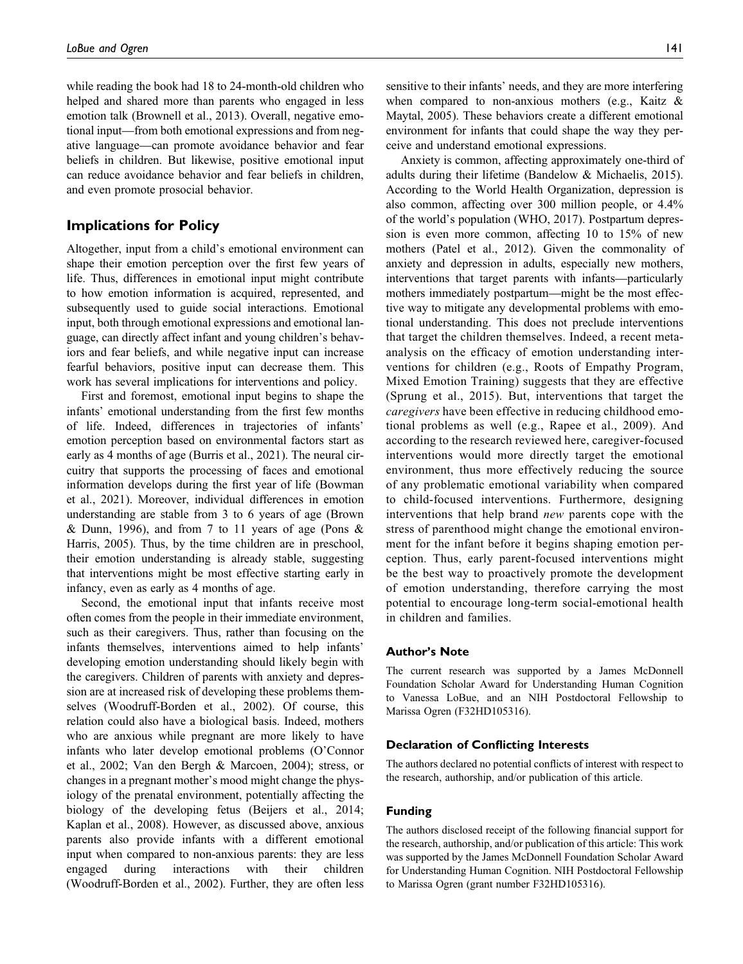while reading the book had 18 to 24-month-old children who helped and shared more than parents who engaged in less emotion talk (Brownell et al., 2013). Overall, negative emotional input—from both emotional expressions and from negative language—can promote avoidance behavior and fear beliefs in children. But likewise, positive emotional input can reduce avoidance behavior and fear beliefs in children, and even promote prosocial behavior.

### Implications for Policy

Altogether, input from a child's emotional environment can shape their emotion perception over the first few years of life. Thus, differences in emotional input might contribute to how emotion information is acquired, represented, and subsequently used to guide social interactions. Emotional input, both through emotional expressions and emotional language, can directly affect infant and young children's behaviors and fear beliefs, and while negative input can increase fearful behaviors, positive input can decrease them. This work has several implications for interventions and policy.

First and foremost, emotional input begins to shape the infants' emotional understanding from the first few months of life. Indeed, differences in trajectories of infants' emotion perception based on environmental factors start as early as 4 months of age (Burris et al., 2021). The neural circuitry that supports the processing of faces and emotional information develops during the first year of life (Bowman et al., 2021). Moreover, individual differences in emotion understanding are stable from 3 to 6 years of age (Brown & Dunn, 1996), and from 7 to 11 years of age (Pons & Harris, 2005). Thus, by the time children are in preschool, their emotion understanding is already stable, suggesting that interventions might be most effective starting early in infancy, even as early as 4 months of age.

Second, the emotional input that infants receive most often comes from the people in their immediate environment, such as their caregivers. Thus, rather than focusing on the infants themselves, interventions aimed to help infants' developing emotion understanding should likely begin with the caregivers. Children of parents with anxiety and depression are at increased risk of developing these problems themselves (Woodruff-Borden et al., 2002). Of course, this relation could also have a biological basis. Indeed, mothers who are anxious while pregnant are more likely to have infants who later develop emotional problems (O'Connor et al., 2002; Van den Bergh & Marcoen, 2004); stress, or changes in a pregnant mother's mood might change the physiology of the prenatal environment, potentially affecting the biology of the developing fetus (Beijers et al., 2014; Kaplan et al., 2008). However, as discussed above, anxious parents also provide infants with a different emotional input when compared to non-anxious parents: they are less engaged during interactions with their children (Woodruff-Borden et al., 2002). Further, they are often less

sensitive to their infants' needs, and they are more interfering when compared to non-anxious mothers (e.g., Kaitz & Maytal, 2005). These behaviors create a different emotional environment for infants that could shape the way they perceive and understand emotional expressions.

Anxiety is common, affecting approximately one-third of adults during their lifetime (Bandelow & Michaelis, 2015). According to the World Health Organization, depression is also common, affecting over 300 million people, or 4.4% of the world's population (WHO, 2017). Postpartum depression is even more common, affecting 10 to 15% of new mothers (Patel et al., 2012). Given the commonality of anxiety and depression in adults, especially new mothers, interventions that target parents with infants—particularly mothers immediately postpartum—might be the most effective way to mitigate any developmental problems with emotional understanding. This does not preclude interventions that target the children themselves. Indeed, a recent metaanalysis on the efficacy of emotion understanding interventions for children (e.g., Roots of Empathy Program, Mixed Emotion Training) suggests that they are effective (Sprung et al., 2015). But, interventions that target the caregivers have been effective in reducing childhood emotional problems as well (e.g., Rapee et al., 2009). And according to the research reviewed here, caregiver-focused interventions would more directly target the emotional environment, thus more effectively reducing the source of any problematic emotional variability when compared to child-focused interventions. Furthermore, designing interventions that help brand new parents cope with the stress of parenthood might change the emotional environment for the infant before it begins shaping emotion perception. Thus, early parent-focused interventions might be the best way to proactively promote the development of emotion understanding, therefore carrying the most potential to encourage long-term social-emotional health in children and families.

#### Author's Note

The current research was supported by a James McDonnell Foundation Scholar Award for Understanding Human Cognition to Vanessa LoBue, and an NIH Postdoctoral Fellowship to Marissa Ogren (F32HD105316).

#### Declaration of Conflicting Interests

The authors declared no potential conflicts of interest with respect to the research, authorship, and/or publication of this article.

#### Funding

The authors disclosed receipt of the following financial support for the research, authorship, and/or publication of this article: This work was supported by the James McDonnell Foundation Scholar Award for Understanding Human Cognition. NIH Postdoctoral Fellowship to Marissa Ogren (grant number F32HD105316).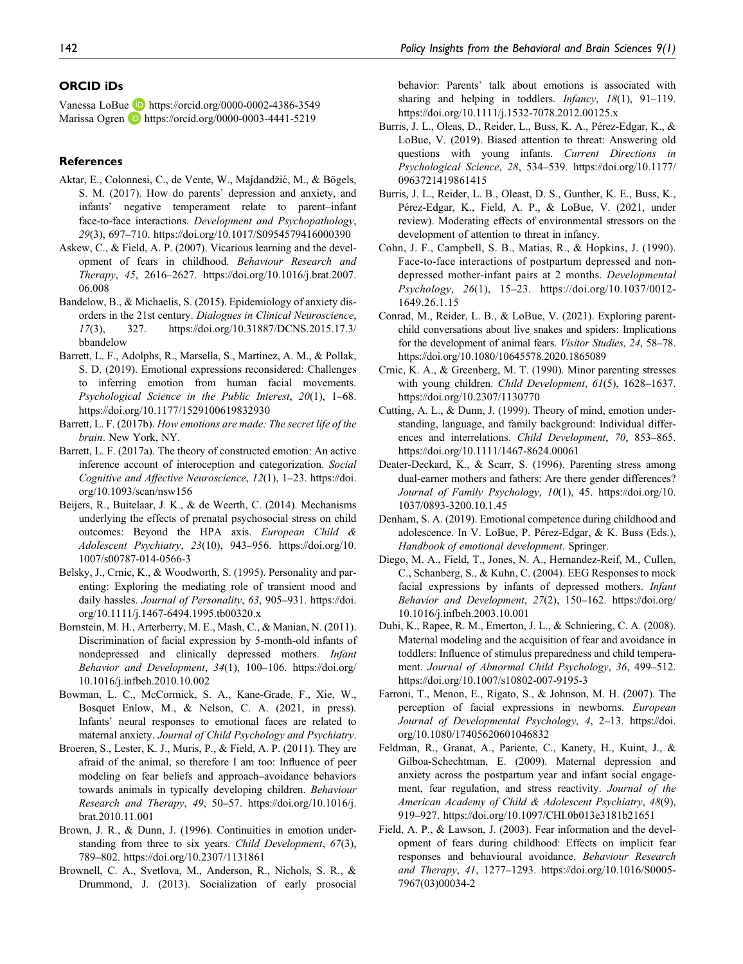#### ORCID iDs

Vanessa LoBue <https://orcid.org/0000-0002-4386-3549> Marissa Ogren **b** <https://orcid.org/0000-0003-4441-5219>

### **References**

- Aktar, E., Colonnesi, C., de Vente, W., Majdandžić, M., & Bögels, S. M. (2017). How do parents' depression and anxiety, and infants' negative temperament relate to parent–infant face-to-face interactions. [Development and Psychopathology](https://doi.org/10.1017/S0954579416000390), 29(3), 697–710.<https://doi.org/10.1017/S0954579416000390>
- Askew, C., & Field, A. P. (2007). Vicarious learning and the devel-opment of fears in childhood. [Behaviour Research and](https://doi.org/10.1016/j.brat.2007.06.008) [Therapy](https://doi.org/10.1016/j.brat.2007.06.008), 45, 2616–2627. [https://doi.org/10.1016/j.brat.2007.](https://doi.org/10.1016/j.brat.2007.06.008) [06.008](https://doi.org/10.1016/j.brat.2007.06.008)
- Bandelow, B., & Michaelis, S. (2015). Epidemiology of anxiety disorders in the 21st century. [Dialogues in Clinical Neuroscience](https://doi.org/10.31887/DCNS.2015.17.3/bbandelow), 17(3), 327. [https://doi.org/10.31887/DCNS.2015.17.3/](https://doi.org/10.31887/DCNS.2015.17.3/bbandelow) [bbandelow](https://doi.org/10.31887/DCNS.2015.17.3/bbandelow)
- Barrett, L. F., Adolphs, R., Marsella, S., Martinez, A. M., & Pollak, S. D. (2019). Emotional expressions reconsidered: Challenges to inferring emotion from human facial movements. [Psychological Science in the Public Interest](https://doi.org/10.1177/1529100619832930), 20(1), 1–68. <https://doi.org/10.1177/1529100619832930>
- Barrett, L. F. (2017b). How emotions are made: The secret life of the brain. New York, NY.
- Barrett, L. F. (2017a). The theory of constructed emotion: An active inference account of interoception and categorization. [Social](https://doi.org/10.1093/scan/nsw156) [Cognitive and Affective Neuroscience](https://doi.org/10.1093/scan/nsw156), 12(1), 1–23. [https://doi.](https://doi.org/10.1093/scan/nsw156) [org/10.1093/scan/nsw156](https://doi.org/10.1093/scan/nsw156)
- Beijers, R., Buitelaar, J. K., & de Weerth, C. (2014). Mechanisms underlying the effects of prenatal psychosocial stress on child outcomes: Beyond the HPA axis. [European Child &](https://doi.org/10.1007/s00787-014-0566-3) [Adolescent Psychiatry](https://doi.org/10.1007/s00787-014-0566-3), 23(10), 943–956. [https://doi.org/10.](https://doi.org/10.1007/s00787-014-0566-3) [1007/s00787-014-0566-3](https://doi.org/10.1007/s00787-014-0566-3)
- Belsky, J., Crnic, K., & Woodworth, S. (1995). Personality and parenting: Exploring the mediating role of transient mood and daily hassles. [Journal of Personality](https://doi.org/10.1111/j.1467-6494.1995.tb00320.x), 63, 905–931. [https://doi.](https://doi.org/10.1111/j.1467-6494.1995.tb00320.x) [org/10.1111/j.1467-6494.1995.tb00320.x](https://doi.org/10.1111/j.1467-6494.1995.tb00320.x)
- Bornstein, M. H., Arterberry, M. E., Mash, C., & Manian, N. (2011). Discrimination of facial expression by 5-month-old infants of nondepressed and clinically depressed mothers. [Infant](https://doi.org/10.1016/j.infbeh.2010.10.002) [Behavior and Development](https://doi.org/10.1016/j.infbeh.2010.10.002), 34(1), 100–106. [https://doi.org/](https://doi.org/10.1016/j.infbeh.2010.10.002) [10.1016/j.infbeh.2010.10.002](https://doi.org/10.1016/j.infbeh.2010.10.002)
- Bowman, L. C., McCormick, S. A., Kane-Grade, F., Xie, W., Bosquet Enlow, M., & Nelson, C. A. (2021, in press). Infants' neural responses to emotional faces are related to maternal anxiety. Journal of Child Psychology and Psychiatry.
- Broeren, S., Lester, K. J., Muris, P., & Field, A. P. (2011). They are afraid of the animal, so therefore I am too: Influence of peer modeling on fear beliefs and approach–avoidance behaviors towards animals in typically developing children. [Behaviour](https://doi.org/10.1016/j.brat.2010.11.001) [Research and Therapy](https://doi.org/10.1016/j.brat.2010.11.001), 49, 50–57. [https://doi.org/10.1016/j.](https://doi.org/10.1016/j.brat.2010.11.001) [brat.2010.11.001](https://doi.org/10.1016/j.brat.2010.11.001)
- Brown, J. R., & Dunn, J. (1996). Continuities in emotion understanding from three to six years. *[Child Development](https://doi.org/10.2307/1131861)*, 67(3), 789–802.<https://doi.org/10.2307/1131861>
- Brownell, C. A., Svetlova, M., Anderson, R., Nichols, S. R., & Drummond, J. (2013). Socialization of early prosocial

behavior: Parents' talk about emotions is associated with sharing and helping in toddlers. *[Infancy](https://doi.org/10.1111/j.1532-7078.2012.00125.x)*, 18(1), 91-119. <https://doi.org/10.1111/j.1532-7078.2012.00125.x>

- Burris, J. L., Oleas, D., Reider, L., Buss, K. A., Pérez-Edgar, K., & LoBue, V. (2019). Biased attention to threat: Answering old questions with young infants. [Current Directions in](https://doi.org/10.1177/0963721419861415) [Psychological Science](https://doi.org/10.1177/0963721419861415), 28, 534–539. [https://doi.org/10.1177/](https://doi.org/10.1177/0963721419861415) [0963721419861415](https://doi.org/10.1177/0963721419861415)
- Burris, J. L., Reider, L. B., Oleast, D. S., Gunther, K. E., Buss, K., Pérez-Edgar, K., Field, A. P., & LoBue, V. (2021, under review). Moderating effects of environmental stressors on the development of attention to threat in infancy.
- Cohn, J. F., Campbell, S. B., Matias, R., & Hopkins, J. (1990). Face-to-face interactions of postpartum depressed and nondepressed mother-infant pairs at 2 months. [Developmental](https://doi.org/10.1037/0012- 1649.26.1.15) [Psychology](https://doi.org/10.1037/0012- 1649.26.1.15), 26(1), 15–23. [https://doi.org/10.1037/0012-](https://doi.org/10.1037/0012- 1649.26.1.15) [1649.26.1.15](https://doi.org/10.1037/0012- 1649.26.1.15)
- Conrad, M., Reider, L. B., & LoBue, V. (2021). Exploring parentchild conversations about live snakes and spiders: Implications for the development of animal fears. [Visitor Studies](https://doi.org/10.1080/10645578.2020.1865089), 24, 58–78. <https://doi.org/10.1080/10645578.2020.1865089>
- Crnic, K. A., & Greenberg, M. T. (1990). Minor parenting stresses with young children. [Child Development](https://doi.org/10.2307/1130770), 61(5), 1628–1637. <https://doi.org/10.2307/1130770>
- Cutting, A. L., & Dunn, J. (1999). Theory of mind, emotion understanding, language, and family background: Individual differences and interrelations. [Child Development](https://doi.org/10.1111/1467-8624.00061), 70, 853–865. <https://doi.org/10.1111/1467-8624.00061>
- Deater-Deckard, K., & Scarr, S. (1996). Parenting stress among dual-earner mothers and fathers: Are there gender differences? [Journal of Family Psychology](https://doi.org/10.1037/0893-3200.10.1.45), 10(1), 45. [https://doi.org/10.](https://doi.org/10.1037/0893-3200.10.1.45) [1037/0893-3200.10.1.45](https://doi.org/10.1037/0893-3200.10.1.45)
- Denham, S. A. (2019). Emotional competence during childhood and adolescence. In V. LoBue, P. Pérez-Edgar, & K. Buss (Eds.), Handbook of emotional development. Springer.
- Diego, M. A., Field, T., Jones, N. A., Hernandez-Reif, M., Cullen, C., Schanberg, S., & Kuhn, C. (2004). EEG Responses to mock facial expressions by infants of depressed mothers. [Infant](https://doi.org/10.1016/j.infbeh.2003.10.001) [Behavior and Development](https://doi.org/10.1016/j.infbeh.2003.10.001), 27(2), 150–162. [https://doi.org/](https://doi.org/10.1016/j.infbeh.2003.10.001) [10.1016/j.infbeh.2003.10.001](https://doi.org/10.1016/j.infbeh.2003.10.001)
- Dubi, K., Rapee, R. M., Emerton, J. L., & Schniering, C. A. (2008). Maternal modeling and the acquisition of fear and avoidance in toddlers: Influence of stimulus preparedness and child temperament. [Journal of Abnormal Child Psychology](https://doi.org/10.1007/s10802-007-9195-3), 36, 499–512. <https://doi.org/10.1007/s10802-007-9195-3>
- Farroni, T., Menon, E., Rigato, S., & Johnson, M. H. (2007). The perception of facial expressions in newborns. [European](https://doi.org/10.1080/17405620601046832) [Journal of Developmental Psychology](https://doi.org/10.1080/17405620601046832), 4, 2-13. [https://doi.](https://doi.org/10.1080/17405620601046832) [org/10.1080/17405620601046832](https://doi.org/10.1080/17405620601046832)
- Feldman, R., Granat, A., Pariente, C., Kanety, H., Kuint, J., & Gilboa-Schechtman, E. (2009). Maternal depression and anxiety across the postpartum year and infant social engagement, fear regulation, and stress reactivity. [Journal of the](https://doi.org/10.1097/CHI.0b013e3181b21651) [American Academy of Child & Adolescent Psychiatry](https://doi.org/10.1097/CHI.0b013e3181b21651), 48(9), 919–927.<https://doi.org/10.1097/CHI.0b013e3181b21651>
- Field, A. P., & Lawson, J. (2003). Fear information and the development of fears during childhood: Effects on implicit fear responses and behavioural avoidance. [Behaviour Research](https://doi.org/10.1016/S0005-7967(03)00034-2) [and Therapy](https://doi.org/10.1016/S0005-7967(03)00034-2), 41, 1277–1293. [https://doi.org/10.1016/S0005-](https://doi.org/10.1016/S0005-7967(03)00034-2) [7967\(03\)00034-2](https://doi.org/10.1016/S0005-7967(03)00034-2)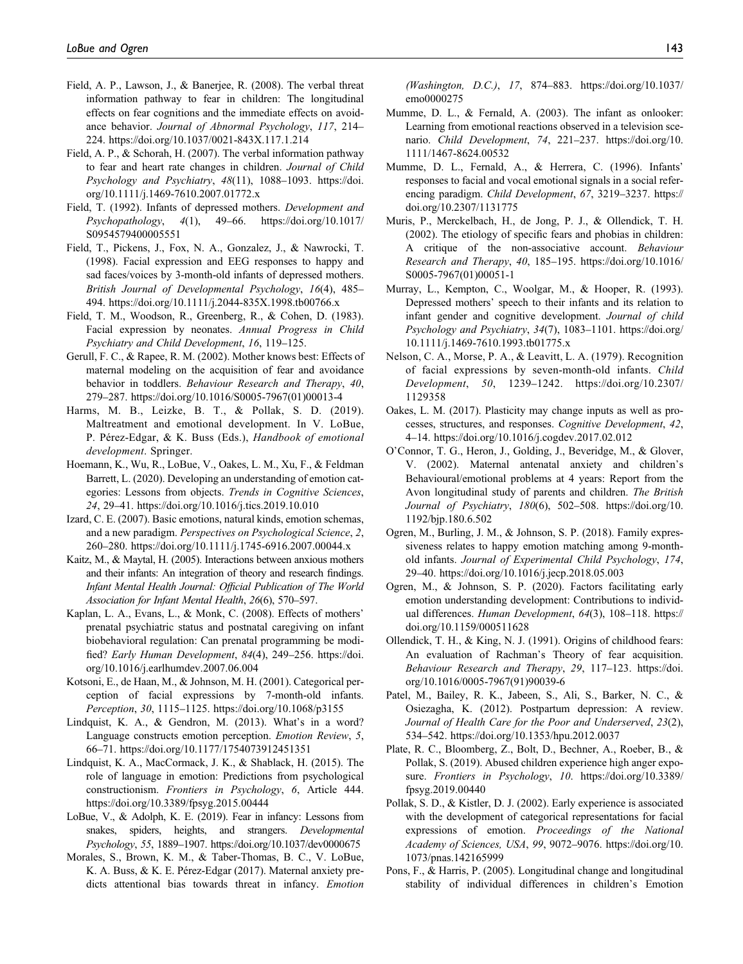- Field, A. P., Lawson, J., & Banerjee, R. (2008). The verbal threat information pathway to fear in children: The longitudinal effects on fear cognitions and the immediate effects on avoidance behavior. [Journal of Abnormal Psychology](https://doi.org/10.1037/0021-843X.117.1.214), 117, 214– 224.<https://doi.org/10.1037/0021-843X.117.1.214>
- Field, A. P., & Schorah, H. (2007). The verbal information pathway to fear and heart rate changes in children. [Journal of Child](https://doi.org/10.1111/j.1469-7610.2007.01772.x) [Psychology and Psychiatry](https://doi.org/10.1111/j.1469-7610.2007.01772.x), 48(11), 1088-1093. [https://doi.](https://doi.org/10.1111/j.1469-7610.2007.01772.x) [org/10.1111/j.1469-7610.2007.01772.x](https://doi.org/10.1111/j.1469-7610.2007.01772.x)
- Field, T. (1992). Infants of depressed mothers. [Development and](https://doi.org/10.1017/S0954579400005551) [Psychopathology](https://doi.org/10.1017/S0954579400005551), 4(1), 49–66. [https://doi.org/10.1017/](https://doi.org/10.1017/S0954579400005551) [S0954579400005551](https://doi.org/10.1017/S0954579400005551)
- Field, T., Pickens, J., Fox, N. A., Gonzalez, J., & Nawrocki, T. (1998). Facial expression and EEG responses to happy and sad faces/voices by 3-month-old infants of depressed mothers. [British Journal of Developmental Psychology](https://doi.org/10.1111/j.2044-835X.1998.tb00766.x), 16(4), 485– 494.<https://doi.org/10.1111/j.2044-835X.1998.tb00766.x>
- Field, T. M., Woodson, R., Greenberg, R., & Cohen, D. (1983). Facial expression by neonates. Annual Progress in Child Psychiatry and Child Development, 16, 119–125.
- Gerull, F. C., & Rapee, R. M. (2002). Mother knows best: Effects of maternal modeling on the acquisition of fear and avoidance behavior in toddlers. [Behaviour Research and Therapy](https://doi.org/10.1016/S0005-7967(01)00013-4), 40, 279–287. [https://doi.org/10.1016/S0005-7967\(01\)00013-4](https://doi.org/10.1016/S0005-7967(01)00013-4)
- Harms, M. B., Leizke, B. T., & Pollak, S. D. (2019). Maltreatment and emotional development. In V. LoBue, P. Pérez-Edgar, & K. Buss (Eds.), Handbook of emotional development. Springer.
- Hoemann, K., Wu, R., LoBue, V., Oakes, L. M., Xu, F., & Feldman Barrett, L. (2020). Developing an understanding of emotion categories: Lessons from objects. [Trends in Cognitive Sciences](https://doi.org/10.1016/j.tics.2019.10.010), 24, 29–41.<https://doi.org/10.1016/j.tics.2019.10.010>
- Izard, C. E. (2007). Basic emotions, natural kinds, emotion schemas, and a new paradigm. [Perspectives on Psychological Science](https://doi.org/10.1111/j.1745-6916.2007.00044.x), 2, 260–280.<https://doi.org/10.1111/j.1745-6916.2007.00044.x>
- Kaitz, M., & Maytal, H. (2005). Interactions between anxious mothers and their infants: An integration of theory and research findings. Infant Mental Health Journal: Official Publication of The World Association for Infant Mental Health, 26(6), 570–597.
- Kaplan, L. A., Evans, L., & Monk, C. (2008). Effects of mothers' prenatal psychiatric status and postnatal caregiving on infant biobehavioral regulation: Can prenatal programming be modi-fied? [Early Human Development](https://doi.org/10.1016/j.earlhumdev.2007.06.004), 84(4), 249-256. [https://doi.](https://doi.org/10.1016/j.earlhumdev.2007.06.004) [org/10.1016/j.earlhumdev.2007.06.004](https://doi.org/10.1016/j.earlhumdev.2007.06.004)
- Kotsoni, E., de Haan, M., & Johnson, M. H. (2001). Categorical perception of facial expressions by 7-month-old infants. [Perception](https://doi.org/10.1068/p3155), 30, 1115–1125.<https://doi.org/10.1068/p3155>
- Lindquist, K. A., & Gendron, M. (2013). What's in a word? Language constructs emotion perception. [Emotion Review](https://doi.org/10.1177/1754073912451351), 5, 66–71.<https://doi.org/10.1177/1754073912451351>
- Lindquist, K. A., MacCormack, J. K., & Shablack, H. (2015). The role of language in emotion: Predictions from psychological constructionism. [Frontiers in Psychology](https://doi.org/10.3389/fpsyg.2015.00444), 6, Article 444. <https://doi.org/10.3389/fpsyg.2015.00444>
- LoBue, V., & Adolph, K. E. (2019). Fear in infancy: Lessons from snakes, spiders, heights, and strangers. [Developmental](https://doi.org/10.1037/dev0000675) [Psychology](https://doi.org/10.1037/dev0000675), 55, 1889–1907.<https://doi.org/10.1037/dev0000675>
- Morales, S., Brown, K. M., & Taber-Thomas, B. C., V. LoBue, K. A. Buss, & K. E. Pérez-Edgar (2017). Maternal anxiety predicts attentional bias towards threat in infancy. [Emotion](https://doi.org/10.1037/emo0000275)

[\(Washington, D.C.\)](https://doi.org/10.1037/emo0000275), 17, 874–883. [https://doi.org/10.1037/](https://doi.org/10.1037/emo0000275) [emo0000275](https://doi.org/10.1037/emo0000275)

- Mumme, D. L., & Fernald, A. (2003). The infant as onlooker: Learning from emotional reactions observed in a television scenario. [Child Development](https://doi.org/10.1111/1467-8624.00532), 74, 221–237. [https://doi.org/10.](https://doi.org/10.1111/1467-8624.00532) [1111/1467-8624.00532](https://doi.org/10.1111/1467-8624.00532)
- Mumme, D. L., Fernald, A., & Herrera, C. (1996). Infants' responses to facial and vocal emotional signals in a social referencing paradigm. [Child Development](https://doi.org/10.2307/1131775), 67, 3219–3237. [https://](https://doi.org/10.2307/1131775) [doi.org/10.2307/1131775](https://doi.org/10.2307/1131775)
- Muris, P., Merckelbach, H., de Jong, P. J., & Ollendick, T. H. (2002). The etiology of specific fears and phobias in children: A critique of the non-associative account. [Behaviour](https://doi.org/10.1016/S0005-7967(01)00051-1) [Research and Therapy](https://doi.org/10.1016/S0005-7967(01)00051-1), 40, 185–195. [https://doi.org/10.1016/](https://doi.org/10.1016/S0005-7967(01)00051-1) [S0005-7967\(01\)00051-1](https://doi.org/10.1016/S0005-7967(01)00051-1)
- Murray, L., Kempton, C., Woolgar, M., & Hooper, R. (1993). Depressed mothers' speech to their infants and its relation to infant gender and cognitive development. [Journal of child](https://doi.org/10.1111/j.1469-7610.1993.tb01775.x) [Psychology and Psychiatry](https://doi.org/10.1111/j.1469-7610.1993.tb01775.x), 34(7), 1083-1101. [https://doi.org/](https://doi.org/10.1111/j.1469-7610.1993.tb01775.x) [10.1111/j.1469-7610.1993.tb01775.x](https://doi.org/10.1111/j.1469-7610.1993.tb01775.x)
- Nelson, C. A., Morse, P. A., & Leavitt, L. A. (1979). Recognition of facial expressions by seven-month-old infants. [Child](https://doi.org/10.2307/1129358) [Development](https://doi.org/10.2307/1129358), 50, 1239–1242. [https://doi.org/10.2307/](https://doi.org/10.2307/1129358) [1129358](https://doi.org/10.2307/1129358)
- Oakes, L. M. (2017). Plasticity may change inputs as well as processes, structures, and responses. [Cognitive Development](https://doi.org/10.1016/j.cogdev.2017.02.012), 42, 4–14.<https://doi.org/10.1016/j.cogdev.2017.02.012>
- O'Connor, T. G., Heron, J., Golding, J., Beveridge, M., & Glover, V. (2002). Maternal antenatal anxiety and children's Behavioural/emotional problems at 4 years: Report from the Avon longitudinal study of parents and children. [The British](https://doi.org/10.1192/bjp.180.6.502) [Journal of Psychiatry](https://doi.org/10.1192/bjp.180.6.502), 180(6), 502–508. [https://doi.org/10.](https://doi.org/10.1192/bjp.180.6.502) [1192/bjp.180.6.502](https://doi.org/10.1192/bjp.180.6.502)
- Ogren, M., Burling, J. M., & Johnson, S. P. (2018). Family expressiveness relates to happy emotion matching among 9-monthold infants. [Journal of Experimental Child Psychology](https://doi.org/10.1016/j.jecp.2018.05.003), 174, 29–40.<https://doi.org/10.1016/j.jecp.2018.05.003>
- Ogren, M., & Johnson, S. P. (2020). Factors facilitating early emotion understanding development: Contributions to individual differences. [Human Development](https://doi.org/10.1159/000511628), 64(3), 108–118. [https://](https://doi.org/10.1159/000511628) [doi.org/10.1159/000511628](https://doi.org/10.1159/000511628)
- Ollendick, T. H., & King, N. J. (1991). Origins of childhood fears: An evaluation of Rachman's Theory of fear acquisition. [Behaviour Research and Therapy](https://doi.org/10.1016/0005-7967(91)90039-6), 29, 117-123. [https://doi.](https://doi.org/10.1016/0005-7967(91)90039-6) [org/10.1016/0005-7967\(91\)90039-6](https://doi.org/10.1016/0005-7967(91)90039-6)
- Patel, M., Bailey, R. K., Jabeen, S., Ali, S., Barker, N. C., & Osiezagha, K. (2012). Postpartum depression: A review. [Journal of Health Care for the Poor and Underserved](https://doi.org/10.1353/hpu.2012.0037), 23(2), 534–542.<https://doi.org/10.1353/hpu.2012.0037>
- Plate, R. C., Bloomberg, Z., Bolt, D., Bechner, A., Roeber, B., & Pollak, S. (2019). Abused children experience high anger expo-sure. [Frontiers in Psychology](https://doi.org/10.3389/fpsyg.2019.00440), 10. [https://doi.org/10.3389/](https://doi.org/10.3389/fpsyg.2019.00440) [fpsyg.2019.00440](https://doi.org/10.3389/fpsyg.2019.00440)
- Pollak, S. D., & Kistler, D. J. (2002). Early experience is associated with the development of categorical representations for facial expressions of emotion. [Proceedings of the National](https://doi.org/10.1073/pnas.142165999) [Academy of Sciences, USA](https://doi.org/10.1073/pnas.142165999), 99, 9072–9076. [https://doi.org/10.](https://doi.org/10.1073/pnas.142165999) [1073/pnas.142165999](https://doi.org/10.1073/pnas.142165999)
- Pons, F., & Harris, P. (2005). Longitudinal change and longitudinal stability of individual differences in children's Emotion